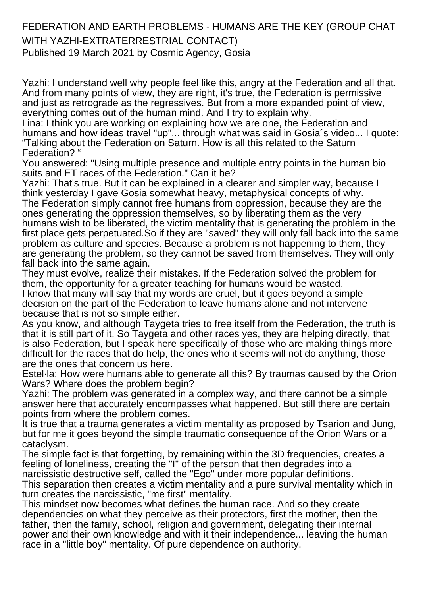## FEDERATION AND EARTH PROBLEMS - HUMANS ARE THE KEY (GROUP CHAT WITH YAZHI-EXTRATERRESTRIAL CONTACT)

Published 19 March 2021 by Cosmic Agency, Gosia

Yazhi: I understand well why people feel like this, angry at the Federation and all that. And from many points of view, they are right, it's true, the Federation is permissive and just as retrograde as the regressives. But from a more expanded point of view, everything comes out of the human mind. And I try to explain why.

Lina: I think you are working on explaining how we are one, the Federation and humans and how ideas travel "up"... through what was said in Gosia's video... I quote: "Talking about the Federation on Saturn. How is all this related to the Saturn Federation? "

You answered: "Using multiple presence and multiple entry points in the human bio suits and ET races of the Federation." Can it be?

Yazhi: That's true. But it can be explained in a clearer and simpler way, because I think yesterday I gave Gosia somewhat heavy, metaphysical concepts of why. The Federation simply cannot free humans from oppression, because they are the ones generating the oppression themselves, so by liberating them as the very humans wish to be liberated, the victim mentality that is generating the problem in the first place gets perpetuated.So if they are "saved" they will only fall back into the same problem as culture and species. Because a problem is not happening to them, they are generating the problem, so they cannot be saved from themselves. They will only fall back into the same again.

They must evolve, realize their mistakes. If the Federation solved the problem for them, the opportunity for a greater teaching for humans would be wasted. I know that many will say that my words are cruel, but it goes beyond a simple decision on the part of the Federation to leave humans alone and not intervene because that is not so simple either.

As you know, and although Taygeta tries to free itself from the Federation, the truth is that it is still part of it. So Taygeta and other races yes, they are helping directly, that is also Federation, but I speak here specifically of those who are making things more difficult for the races that do help, the ones who it seems will not do anything, those are the ones that concern us here.

Estel·la: How were humans able to generate all this? By traumas caused by the Orion Wars? Where does the problem begin?

Yazhi: The problem was generated in a complex way, and there cannot be a simple answer here that accurately encompasses what happened. But still there are certain points from where the problem comes.

It is true that a trauma generates a victim mentality as proposed by Tsarion and Jung. but for me it goes beyond the simple traumatic consequence of the Orion Wars or a cataclysm.

The simple fact is that forgetting, by remaining within the 3D frequencies, creates a feeling of loneliness, creating the "I" of the person that then degrades into a narcissistic destructive self, called the "Ego" under more popular definitions.

This separation then creates a victim mentality and a pure survival mentality which in turn creates the narcissistic, "me first" mentality.

This mindset now becomes what defines the human race. And so they create dependencies on what they perceive as their protectors, first the mother, then the father, then the family, school, religion and government, delegating their internal power and their own knowledge and with it their independence... leaving the human race in a "little boy" mentality. Of pure dependence on authority.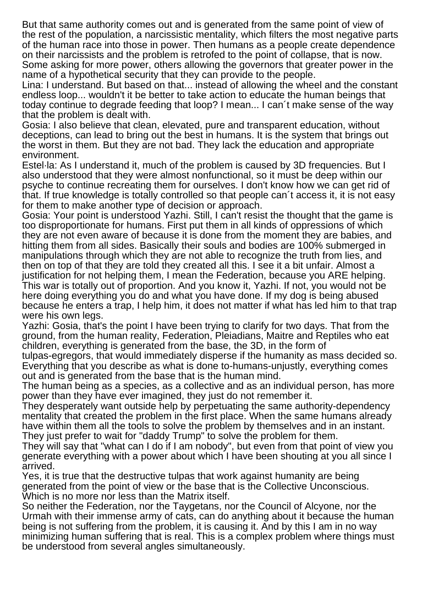But that same authority comes out and is generated from the same point of view of the rest of the population, a narcissistic mentality, which filters the most negative parts of the human race into those in power. Then humans as a people create dependence on their narcissists and the problem is retrofed to the point of collapse, that is now. Some asking for more power, others allowing the governors that greater power in the name of a hypothetical security that they can provide to the people.

Lina: I understand. But based on that... instead of allowing the wheel and the constant endless loop... wouldn't it be better to take action to educate the human beings that today continue to degrade feeding that loop? I mean... I can´t make sense of the way that the problem is dealt with.

Gosia: I also believe that clean, elevated, pure and transparent education, without deceptions, can lead to bring out the best in humans. It is the system that brings out the worst in them. But they are not bad. They lack the education and appropriate environment.

Estel·la: As I understand it, much of the problem is caused by 3D frequencies. But I also understood that they were almost nonfunctional, so it must be deep within our psyche to continue recreating them for ourselves. I don't know how we can get rid of that. If true knowledge is totally controlled so that people can´t access it, it is not easy for them to make another type of decision or approach.

Gosia: Your point is understood Yazhi. Still, I can't resist the thought that the game is too disproportionate for humans. First put them in all kinds of oppressions of which they are not even aware of because it is done from the moment they are babies, and hitting them from all sides. Basically their souls and bodies are 100% submerged in manipulations through which they are not able to recognize the truth from lies, and then on top of that they are told they created all this. I see it a bit unfair. Almost a justification for not helping them, I mean the Federation, because you ARE helping. This war is totally out of proportion. And you know it, Yazhi. If not, you would not be here doing everything you do and what you have done. If my dog is being abused because he enters a trap, I help him, it does not matter if what has led him to that trap were his own legs.

Yazhi: Gosia, that's the point I have been trying to clarify for two days. That from the ground, from the human reality, Federation, Pleiadians, Maitre and Reptiles who eat children, everything is generated from the base, the 3D, in the form of

tulpas-egregors, that would immediately disperse if the humanity as mass decided so. Everything that you describe as what is done to-humans-unjustly, everything comes out and is generated from the base that is the human mind.

The human being as a species, as a collective and as an individual person, has more power than they have ever imagined, they just do not remember it.

They desperately want outside help by perpetuating the same authority-dependency mentality that created the problem in the first place. When the same humans already have within them all the tools to solve the problem by themselves and in an instant. They just prefer to wait for "daddy Trump" to solve the problem for them.

They will say that "what can I do if I am nobody", but even from that point of view you generate everything with a power about which I have been shouting at you all since I arrived.

Yes, it is true that the destructive tulpas that work against humanity are being generated from the point of view or the base that is the Collective Unconscious. Which is no more nor less than the Matrix itself.

So neither the Federation, nor the Taygetans, nor the Council of Alcyone, nor the Urmah with their immense army of cats, can do anything about it because the human being is not suffering from the problem, it is causing it. And by this I am in no way minimizing human suffering that is real. This is a complex problem where things must be understood from several angles simultaneously.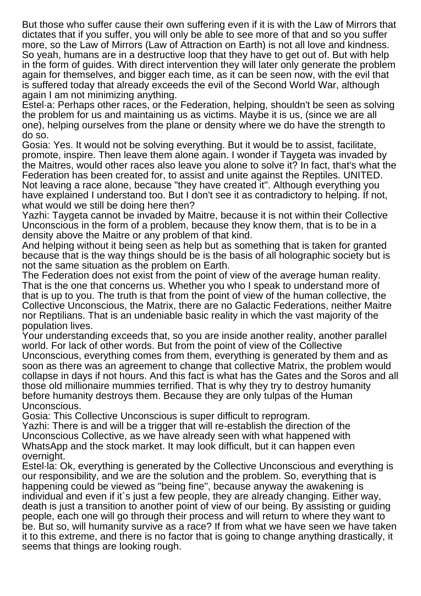But those who suffer cause their own suffering even if it is with the Law of Mirrors that dictates that if you suffer, you will only be able to see more of that and so you suffer more, so the Law of Mirrors (Law of Attraction on Earth) is not all love and kindness. So yeah, humans are in a destructive loop that they have to get out of. But with help in the form of guides. With direct intervention they will later only generate the problem again for themselves, and bigger each time, as it can be seen now, with the evil that is suffered today that already exceeds the evil of the Second World War, although again I am not minimizing anything.

Estel·a: Perhaps other races, or the Federation, helping, shouldn't be seen as solving the problem for us and maintaining us as victims. Maybe it is us, (since we are all one), helping ourselves from the plane or density where we do have the strength to do so.

Gosia: Yes. It would not be solving everything. But it would be to assist, facilitate, promote, inspire. Then leave them alone again. I wonder if Taygeta was invaded by the Maitres, would other races also leave you alone to solve it? In fact, that's what the Federation has been created for, to assist and unite against the Reptiles. UNITED. Not leaving a race alone, because "they have created it". Although everything you have explained I understand too. But I don't see it as contradictory to helping. If not, what would we still be doing here then?

Yazhi: Taygeta cannot be invaded by Maitre, because it is not within their Collective Unconscious in the form of a problem, because they know them, that is to be in a density above the Maitre or any problem of that kind.

And helping without it being seen as help but as something that is taken for granted because that is the way things should be is the basis of all holographic society but is not the same situation as the problem on Earth.

The Federation does not exist from the point of view of the average human reality. That is the one that concerns us. Whether you who I speak to understand more of that is up to you. The truth is that from the point of view of the human collective, the Collective Unconscious, the Matrix, there are no Galactic Federations, neither Maitre nor Reptilians. That is an undeniable basic reality in which the vast majority of the population lives.

Your understanding exceeds that, so you are inside another reality, another parallel world. For lack of other words. But from the point of view of the Collective Unconscious, everything comes from them, everything is generated by them and as soon as there was an agreement to change that collective Matrix, the problem would collapse in days if not hours. And this fact is what has the Gates and the Soros and all those old millionaire mummies terrified. That is why they try to destroy humanity before humanity destroys them. Because they are only tulpas of the Human Unconscious.

Gosia: This Collective Unconscious is super difficult to reprogram.

Yazhi: There is and will be a trigger that will re-establish the direction of the Unconscious Collective, as we have already seen with what happened with WhatsApp and the stock market. It may look difficult, but it can happen even overnight.

Estel·la: Ok, everything is generated by the Collective Unconscious and everything is our responsibility, and we are the solution and the problem. So, everything that is happening could be viewed as "being fine", because anyway the awakening is individual and even if it´s just a few people, they are already changing. Either way, death is just a transition to another point of view of our being. By assisting or guiding people, each one will go through their process and will return to where they want to be. But so, will humanity survive as a race? If from what we have seen we have taken it to this extreme, and there is no factor that is going to change anything drastically, it seems that things are looking rough.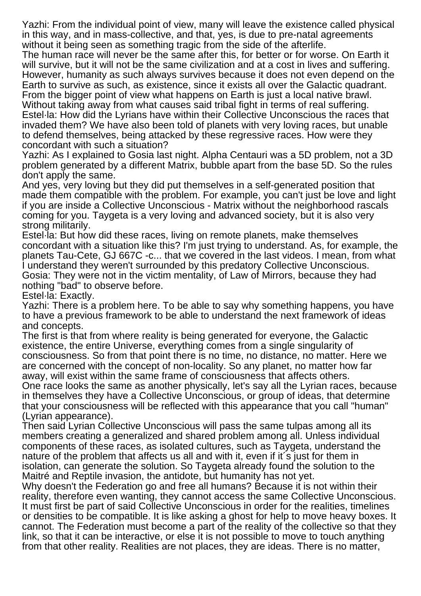Yazhi: From the individual point of view, many will leave the existence called physical in this way, and in mass-collective, and that, yes, is due to pre-natal agreements without it being seen as something tragic from the side of the afterlife.

The human race will never be the same after this, for better or for worse. On Earth it will survive, but it will not be the same civilization and at a cost in lives and suffering. However, humanity as such always survives because it does not even depend on the Earth to survive as such, as existence, since it exists all over the Galactic quadrant. From the bigger point of view what happens on Earth is just a local native brawl.

Without taking away from what causes said tribal fight in terms of real suffering. Estel·la: How did the Lyrians have within their Collective Unconscious the races that invaded them? We have also been told of planets with very loving races, but unable to defend themselves, being attacked by these regressive races. How were they concordant with such a situation?

Yazhi: As I explained to Gosia last night. Alpha Centauri was a 5D problem, not a 3D problem generated by a different Matrix, bubble apart from the base 5D. So the rules don't apply the same.

And yes, very loving but they did put themselves in a self-generated position that made them compatible with the problem. For example, you can't just be love and light if you are inside a Collective Unconscious - Matrix without the neighborhood rascals coming for you. Taygeta is a very loving and advanced society, but it is also very strong militarily.

Estel·la: But how did these races, living on remote planets, make themselves concordant with a situation like this? I'm just trying to understand. As, for example, the planets Tau-Cete, GJ 667C -c... that we covered in the last videos. I mean, from what I understand they weren't surrounded by this predatory Collective Unconscious. Gosia: They were not in the victim mentality, of Law of Mirrors, because they had nothing "bad" to observe before.

Estel·la: Exactly.

Yazhi: There is a problem here. To be able to say why something happens, you have to have a previous framework to be able to understand the next framework of ideas and concepts.

The first is that from where reality is being generated for everyone, the Galactic existence, the entire Universe, everything comes from a single singularity of consciousness. So from that point there is no time, no distance, no matter. Here we are concerned with the concept of non-locality. So any planet, no matter how far away, will exist within the same frame of consciousness that affects others.

One race looks the same as another physically, let's say all the Lyrian races, because in themselves they have a Collective Unconscious, or group of ideas, that determine that your consciousness will be reflected with this appearance that you call "human" (Lyrian appearance).

Then said Lyrian Collective Unconscious will pass the same tulpas among all its members creating a generalized and shared problem among all. Unless individual components of these races, as isolated cultures, such as Taygeta, understand the nature of the problem that affects us all and with it, even if it´s just for them in isolation, can generate the solution. So Taygeta already found the solution to the Maitré and Reptile invasion, the antidote, but humanity has not yet.

Why doesn't the Federation go and free all humans? Because it is not within their reality, therefore even wanting, they cannot access the same Collective Unconscious. It must first be part of said Collective Unconscious in order for the realities, timelines or densities to be compatible. It is like asking a ghost for help to move heavy boxes. It cannot. The Federation must become a part of the reality of the collective so that they link, so that it can be interactive, or else it is not possible to move to touch anything from that other reality. Realities are not places, they are ideas. There is no matter,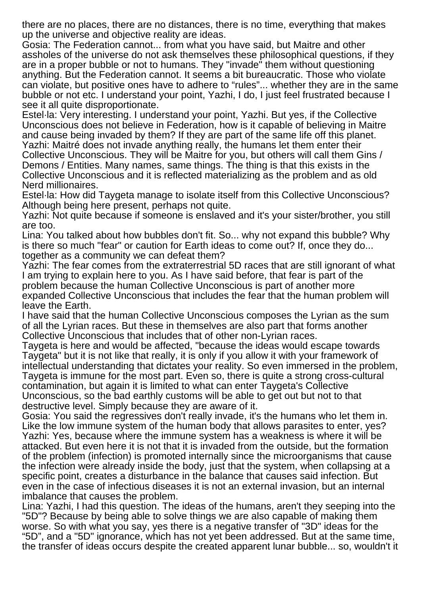there are no places, there are no distances, there is no time, everything that makes up the universe and objective reality are ideas.

Gosia: The Federation cannot... from what you have said, but Maitre and other assholes of the universe do not ask themselves these philosophical questions, if they are in a proper bubble or not to humans. They "invade" them without questioning anything. But the Federation cannot. It seems a bit bureaucratic. Those who violate can violate, but positive ones have to adhere to "rules"... whether they are in the same bubble or not etc. I understand your point, Yazhi, I do, I just feel frustrated because I see it all quite disproportionate.

Estel·la: Very interesting. I understand your point, Yazhi. But yes, if the Collective Unconscious does not believe in Federation, how is it capable of believing in Maitre and cause being invaded by them? If they are part of the same life off this planet. Yazhi: Maitré does not invade anything really, the humans let them enter their Collective Unconscious. They will be Maitre for you, but others will call them Gins / Demons / Entities. Many names, same things. The thing is that this exists in the Collective Unconscious and it is reflected materializing as the problem and as old Nerd millionaires.

Estel·la: How did Taygeta manage to isolate itself from this Collective Unconscious? Although being here present, perhaps not quite.

Yazhi: Not quite because if someone is enslaved and it's your sister/brother, you still are too.

Lina: You talked about how bubbles don't fit. So... why not expand this bubble? Why is there so much "fear" or caution for Earth ideas to come out? If, once they do... together as a community we can defeat them?

Yazhi: The fear comes from the extraterrestrial 5D races that are still ignorant of what I am trying to explain here to you. As I have said before, that fear is part of the problem because the human Collective Unconscious is part of another more expanded Collective Unconscious that includes the fear that the human problem will leave the Earth.

I have said that the human Collective Unconscious composes the Lyrian as the sum of all the Lyrian races. But these in themselves are also part that forms another Collective Unconscious that includes that of other non-Lyrian races.

Taygeta is here and would be affected, "because the ideas would escape towards Taygeta" but it is not like that really, it is only if you allow it with your framework of intellectual understanding that dictates your reality. So even immersed in the problem, Taygeta is immune for the most part. Even so, there is quite a strong cross-cultural contamination, but again it is limited to what can enter Taygeta's Collective Unconscious, so the bad earthly customs will be able to get out but not to that destructive level. Simply because they are aware of it.

Gosia: You said the regressives don't really invade, it's the humans who let them in. Like the low immune system of the human body that allows parasites to enter, yes? Yazhi: Yes, because where the immune system has a weakness is where it will be attacked. But even here it is not that it is invaded from the outside, but the formation of the problem (infection) is promoted internally since the microorganisms that cause the infection were already inside the body, just that the system, when collapsing at a specific point, creates a disturbance in the balance that causes said infection. But even in the case of infectious diseases it is not an external invasion, but an internal imbalance that causes the problem.

Lina: Yazhi, I had this question. The ideas of the humans, aren't they seeping into the "5D"? Because by being able to solve things we are also capable of making them worse. So with what you say, yes there is a negative transfer of "3D" ideas for the "5D", and a "5D" ignorance, which has not yet been addressed. But at the same time, the transfer of ideas occurs despite the created apparent lunar bubble... so, wouldn't it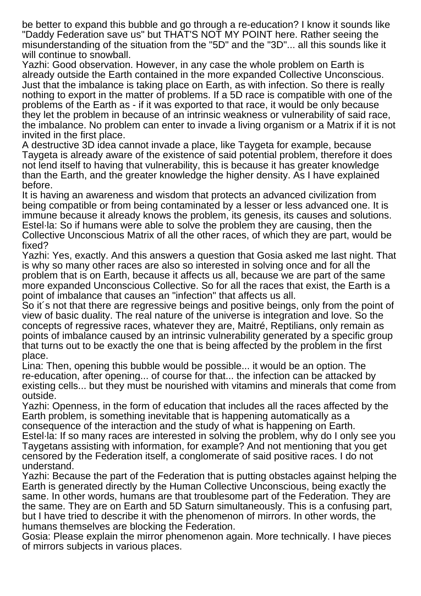be better to expand this bubble and go through a re-education? I know it sounds like "Daddy Federation save us" but THAT'S NOT MY POINT here. Rather seeing the misunderstanding of the situation from the "5D" and the "3D"... all this sounds like it will continue to snowball.

Yazhi: Good observation. However, in any case the whole problem on Earth is already outside the Earth contained in the more expanded Collective Unconscious. Just that the imbalance is taking place on Earth, as with infection. So there is really nothing to export in the matter of problems. If a 5D race is compatible with one of the problems of the Earth as - if it was exported to that race, it would be only because they let the problem in because of an intrinsic weakness or vulnerability of said race, the imbalance. No problem can enter to invade a living organism or a Matrix if it is not invited in the first place.

A destructive 3D idea cannot invade a place, like Taygeta for example, because Taygeta is already aware of the existence of said potential problem, therefore it does not lend itself to having that vulnerability, this is because it has greater knowledge than the Earth, and the greater knowledge the higher density. As I have explained before.

It is having an awareness and wisdom that protects an advanced civilization from being compatible or from being contaminated by a lesser or less advanced one. It is immune because it already knows the problem, its genesis, its causes and solutions. Estel·la: So if humans were able to solve the problem they are causing, then the Collective Unconscious Matrix of all the other races, of which they are part, would be fixed?

Yazhi: Yes, exactly. And this answers a question that Gosia asked me last night. That is why so many other races are also so interested in solving once and for all the problem that is on Earth, because it affects us all, because we are part of the same more expanded Unconscious Collective. So for all the races that exist, the Earth is a point of imbalance that causes an "infection" that affects us all.

So it´s not that there are regressive beings and positive beings, only from the point of view of basic duality. The real nature of the universe is integration and love. So the concepts of regressive races, whatever they are, Maitré, Reptilians, only remain as points of imbalance caused by an intrinsic vulnerability generated by a specific group that turns out to be exactly the one that is being affected by the problem in the first place.

Lina: Then, opening this bubble would be possible... it would be an option. The re-education, after opening... of course for that... the infection can be attacked by existing cells... but they must be nourished with vitamins and minerals that come from outside.

Yazhi: Openness, in the form of education that includes all the races affected by the Earth problem, is something inevitable that is happening automatically as a consequence of the interaction and the study of what is happening on Earth. Estel·la: If so many races are interested in solving the problem, why do I only see you Taygetans assisting with information, for example? And not mentioning that you get censored by the Federation itself, a conglomerate of said positive races. I do not understand.

Yazhi: Because the part of the Federation that is putting obstacles against helping the Earth is generated directly by the Human Collective Unconscious, being exactly the same. In other words, humans are that troublesome part of the Federation. They are the same. They are on Earth and 5D Saturn simultaneously. This is a confusing part, but I have tried to describe it with the phenomenon of mirrors. In other words, the humans themselves are blocking the Federation.

Gosia: Please explain the mirror phenomenon again. More technically. I have pieces of mirrors subjects in various places.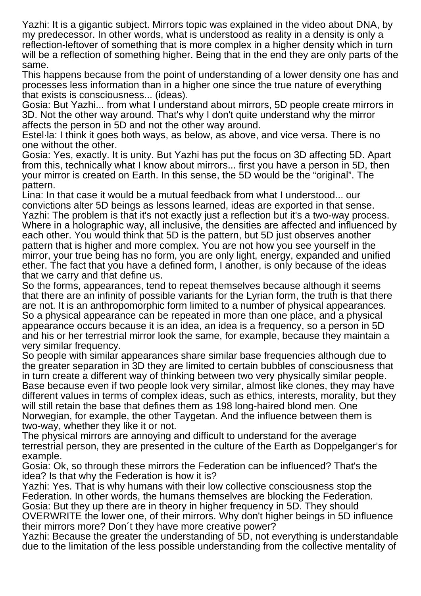Yazhi: It is a gigantic subject. Mirrors topic was explained in the video about DNA, by my predecessor. In other words, what is understood as reality in a density is only a reflection-leftover of something that is more complex in a higher density which in turn will be a reflection of something higher. Being that in the end they are only parts of the same.

This happens because from the point of understanding of a lower density one has and processes less information than in a higher one since the true nature of everything that exists is consciousness... (ideas).

Gosia: But Yazhi... from what I understand about mirrors, 5D people create mirrors in 3D. Not the other way around. That's why I don't quite understand why the mirror affects the person in 5D and not the other way around.

Estel·la: I think it goes both ways, as below, as above, and vice versa. There is no one without the other.

Gosia: Yes, exactly. It is unity. But Yazhi has put the focus on 3D affecting 5D. Apart from this, technically what I know about mirrors... first you have a person in 5D, then your mirror is created on Earth. In this sense, the 5D would be the "original". The pattern.

Lina: In that case it would be a mutual feedback from what I understood... our convictions alter 5D beings as lessons learned, ideas are exported in that sense. Yazhi: The problem is that it's not exactly just a reflection but it's a two-way process. Where in a holographic way, all inclusive, the densities are affected and influenced by each other. You would think that 5D is the pattern, but 5D just observes another pattern that is higher and more complex. You are not how you see yourself in the mirror, your true being has no form, you are only light, energy, expanded and unified ether. The fact that you have a defined form, I another, is only because of the ideas that we carry and that define us.

So the forms, appearances, tend to repeat themselves because although it seems that there are an infinity of possible variants for the Lyrian form, the truth is that there are not. It is an anthropomorphic form limited to a number of physical appearances. So a physical appearance can be repeated in more than one place, and a physical appearance occurs because it is an idea, an idea is a frequency, so a person in 5D and his or her terrestrial mirror look the same, for example, because they maintain a very similar frequency.

So people with similar appearances share similar base frequencies although due to the greater separation in 3D they are limited to certain bubbles of consciousness that in turn create a different way of thinking between two very physically similar people. Base because even if two people look very similar, almost like clones, they may have different values in terms of complex ideas, such as ethics, interests, morality, but they will still retain the base that defines them as 198 long-haired blond men. One Norwegian, for example, the other Taygetan. And the influence between them is two-way, whether they like it or not.

The physical mirrors are annoying and difficult to understand for the average terrestrial person, they are presented in the culture of the Earth as Doppelganger's for example.

Gosia: Ok, so through these mirrors the Federation can be influenced? That's the idea? Is that why the Federation is how it is?

Yazhi: Yes. That is why humans with their low collective consciousness stop the Federation. In other words, the humans themselves are blocking the Federation. Gosia: But they up there are in theory in higher frequency in 5D. They should OVERWRITE the lower one, of their mirrors. Why don't higher beings in 5D influence

their mirrors more? Don´t they have more creative power?

Yazhi: Because the greater the understanding of 5D, not everything is understandable due to the limitation of the less possible understanding from the collective mentality of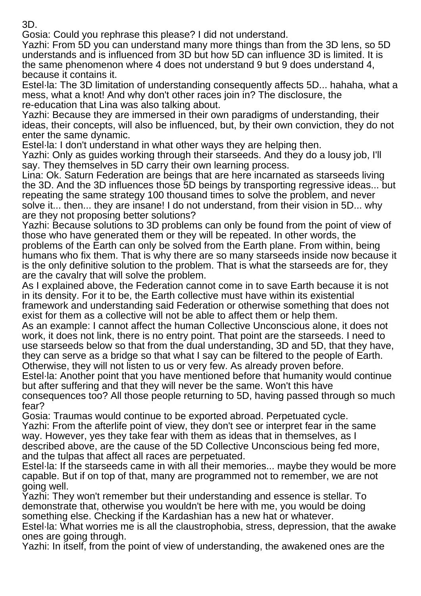3D.

Gosia: Could you rephrase this please? I did not understand.

Yazhi: From 5D you can understand many more things than from the 3D lens, so 5D understands and is influenced from 3D but how 5D can influence 3D is limited. It is the same phenomenon where 4 does not understand 9 but 9 does understand 4, because it contains it.

Estel·la: The 3D limitation of understanding consequently affects 5D... hahaha, what a mess, what a knot! And why don't other races join in? The disclosure, the re-education that Lina was also talking about.

Yazhi: Because they are immersed in their own paradigms of understanding, their ideas, their concepts, will also be influenced, but, by their own conviction, they do not enter the same dynamic.

Estel·la: I don't understand in what other ways they are helping then.

Yazhi: Only as guides working through their starseeds. And they do a lousy job, I'll say. They themselves in 5D carry their own learning process.

Lina: Ok. Saturn Federation are beings that are here incarnated as starseeds living the 3D. And the 3D influences those 5D beings by transporting regressive ideas... but repeating the same strategy 100 thousand times to solve the problem, and never solve it... then... they are insane! I do not understand, from their vision in 5D... why are they not proposing better solutions?

Yazhi: Because solutions to 3D problems can only be found from the point of view of those who have generated them or they will be repeated. In other words, the problems of the Earth can only be solved from the Earth plane. From within, being humans who fix them. That is why there are so many starseeds inside now because it is the only definitive solution to the problem. That is what the starseeds are for, they are the cavalry that will solve the problem.

As I explained above, the Federation cannot come in to save Earth because it is not in its density. For it to be, the Earth collective must have within its existential framework and understanding said Federation or otherwise something that does not exist for them as a collective will not be able to affect them or help them.

As an example: I cannot affect the human Collective Unconscious alone, it does not work, it does not link, there is no entry point. That point are the starseeds. I need to use starseeds below so that from the dual understanding, 3D and 5D, that they have, they can serve as a bridge so that what I say can be filtered to the people of Earth. Otherwise, they will not listen to us or very few. As already proven before.

Estel·la: Another point that you have mentioned before that humanity would continue but after suffering and that they will never be the same. Won't this have consequences too? All those people returning to 5D, having passed through so much fear?

Gosia: Traumas would continue to be exported abroad. Perpetuated cycle. Yazhi: From the afterlife point of view, they don't see or interpret fear in the same way. However, yes they take fear with them as ideas that in themselves, as I described above, are the cause of the 5D Collective Unconscious being fed more, and the tulpas that affect all races are perpetuated.

Estel·la: If the starseeds came in with all their memories... maybe they would be more capable. But if on top of that, many are programmed not to remember, we are not going well.

Yazhi: They won't remember but their understanding and essence is stellar. To demonstrate that, otherwise you wouldn't be here with me, you would be doing something else. Checking if the Kardashian has a new hat or whatever.

Estel·la: What worries me is all the claustrophobia, stress, depression, that the awake ones are going through.

Yazhi: In itself, from the point of view of understanding, the awakened ones are the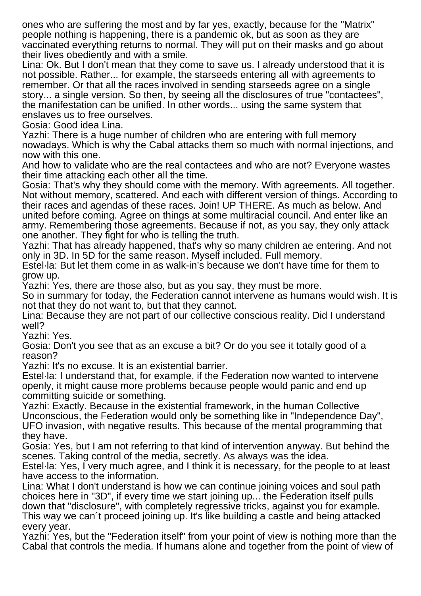ones who are suffering the most and by far yes, exactly, because for the "Matrix" people nothing is happening, there is a pandemic ok, but as soon as they are vaccinated everything returns to normal. They will put on their masks and go about their lives obediently and with a smile.

Lina: Ok. But I don't mean that they come to save us. I already understood that it is not possible. Rather... for example, the starseeds entering all with agreements to remember. Or that all the races involved in sending starseeds agree on a single story... a single version. So then, by seeing all the disclosures of true "contactees", the manifestation can be unified. In other words... using the same system that enslaves us to free ourselves.

Gosia: Good idea Lina.

Yazhi: There is a huge number of children who are entering with full memory nowadays. Which is why the Cabal attacks them so much with normal injections, and now with this one.

And how to validate who are the real contactees and who are not? Everyone wastes their time attacking each other all the time.

Gosia: That's why they should come with the memory. With agreements. All together. Not without memory, scattered. And each with different version of things. According to their races and agendas of these races. Join! UP THERE. As much as below. And united before coming. Agree on things at some multiracial council. And enter like an army. Remembering those agreements. Because if not, as you say, they only attack one another. They fight for who is telling the truth.

Yazhi: That has already happened, that's why so many children ae entering. And not only in 3D. In 5D for the same reason. Myself included. Full memory.

Estel·la: But let them come in as walk-in's because we don't have time for them to grow up.

Yazhi: Yes, there are those also, but as you say, they must be more.

So in summary for today, the Federation cannot intervene as humans would wish. It is not that they do not want to, but that they cannot.

Lina: Because they are not part of our collective conscious reality. Did I understand well?

Yazhi: Yes.

Gosia: Don't you see that as an excuse a bit? Or do you see it totally good of a reason?

Yazhi: It's no excuse. It is an existential barrier.

Estel·la: I understand that, for example, if the Federation now wanted to intervene openly, it might cause more problems because people would panic and end up committing suicide or something.

Yazhi: Exactly. Because in the existential framework, in the human Collective Unconscious, the Federation would only be something like in "Independence Day", UFO invasion, with negative results. This because of the mental programming that they have.

Gosia: Yes, but I am not referring to that kind of intervention anyway. But behind the scenes. Taking control of the media, secretly. As always was the idea.

Estel·la: Yes, I very much agree, and I think it is necessary, for the people to at least have access to the information.

Lina: What I don't understand is how we can continue joining voices and soul path choices here in "3D", if every time we start joining up... the Federation itself pulls down that "disclosure", with completely regressive tricks, against you for example. This way we can´t proceed joining up. It's like building a castle and being attacked every year.

Yazhi: Yes, but the "Federation itself" from your point of view is nothing more than the Cabal that controls the media. If humans alone and together from the point of view of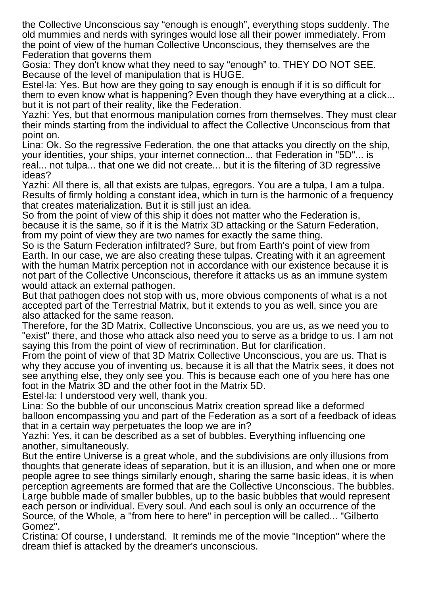the Collective Unconscious say "enough is enough", everything stops suddenly. The old mummies and nerds with syringes would lose all their power immediately. From the point of view of the human Collective Unconscious, they themselves are the Federation that governs them

Gosia: They don't know what they need to say "enough" to. THEY DO NOT SEE. Because of the level of manipulation that is HUGE.

Estel·la: Yes. But how are they going to say enough is enough if it is so difficult for them to even know what is happening? Even though they have everything at a click... but it is not part of their reality, like the Federation.

Yazhi: Yes, but that enormous manipulation comes from themselves. They must clear their minds starting from the individual to affect the Collective Unconscious from that point on.

Lina: Ok. So the regressive Federation, the one that attacks you directly on the ship, your identities, your ships, your internet connection... that Federation in "5D"... is real... not tulpa... that one we did not create... but it is the filtering of 3D regressive ideas?

Yazhi: All there is, all that exists are tulpas, egregors. You are a tulpa, I am a tulpa. Results of firmly holding a constant idea, which in turn is the harmonic of a frequency that creates materialization. But it is still just an idea.

So from the point of view of this ship it does not matter who the Federation is, because it is the same, so if it is the Matrix 3D attacking or the Saturn Federation, from my point of view they are two names for exactly the same thing.

So is the Saturn Federation infiltrated? Sure, but from Earth's point of view from Earth. In our case, we are also creating these tulpas. Creating with it an agreement with the human Matrix perception not in accordance with our existence because it is not part of the Collective Unconscious, therefore it attacks us as an immune system would attack an external pathogen.

But that pathogen does not stop with us, more obvious components of what is a not accepted part of the Terrestrial Matrix, but it extends to you as well, since you are also attacked for the same reason.

Therefore, for the 3D Matrix, Collective Unconscious, you are us, as we need you to "exist" there, and those who attack also need you to serve as a bridge to us. I am not saying this from the point of view of recrimination. But for clarification.

From the point of view of that 3D Matrix Collective Unconscious, you are us. That is why they accuse you of inventing us, because it is all that the Matrix sees, it does not see anything else, they only see you. This is because each one of you here has one foot in the Matrix 3D and the other foot in the Matrix 5D.

Estel·la: I understood very well, thank you.

Lina: So the bubble of our unconscious Matrix creation spread like a deformed balloon encompassing you and part of the Federation as a sort of a feedback of ideas that in a certain way perpetuates the loop we are in?

Yazhi: Yes, it can be described as a set of bubbles. Everything influencing one another, simultaneously.

But the entire Universe is a great whole, and the subdivisions are only illusions from thoughts that generate ideas of separation, but it is an illusion, and when one or more people agree to see things similarly enough, sharing the same basic ideas, it is when perception agreements are formed that are the Collective Unconscious. The bubbles. Large bubble made of smaller bubbles, up to the basic bubbles that would represent each person or individual. Every soul. And each soul is only an occurrence of the Source, of the Whole, a "from here to here" in perception will be called... "Gilberto Gomez".

Cristina: Of course, I understand. It reminds me of the movie "Inception" where the dream thief is attacked by the dreamer's unconscious.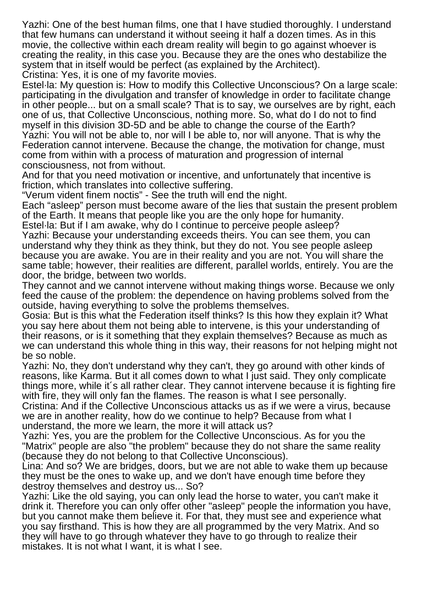Yazhi: One of the best human films, one that I have studied thoroughly. I understand that few humans can understand it without seeing it half a dozen times. As in this movie, the collective within each dream reality will begin to go against whoever is creating the reality, in this case you. Because they are the ones who destabilize the system that in itself would be perfect (as explained by the Architect). Cristina: Yes, it is one of my favorite movies.

Estel·la: My question is: How to modify this Collective Unconscious? On a large scale: participating in the divulgation and transfer of knowledge in order to facilitate change in other people... but on a small scale? That is to say, we ourselves are by right, each one of us, that Collective Unconscious, nothing more. So, what do I do not to find myself in this division 3D-5D and be able to change the course of the Earth? Yazhi: You will not be able to, nor will I be able to, nor will anyone. That is why the Federation cannot intervene. Because the change, the motivation for change, must come from within with a process of maturation and progression of internal consciousness, not from without.

And for that you need motivation or incentive, and unfortunately that incentive is friction, which translates into collective suffering.

"Verum vident finem noctis" - See the truth will end the night.

Each "asleep" person must become aware of the lies that sustain the present problem of the Earth. It means that people like you are the only hope for humanity.

Estel·la: But if I am awake, why do I continue to perceive people asleep?

Yazhi: Because your understanding exceeds theirs. You can see them, you can understand why they think as they think, but they do not. You see people asleep because you are awake. You are in their reality and you are not. You will share the same table; however, their realities are different, parallel worlds, entirely. You are the door, the bridge, between two worlds.

They cannot and we cannot intervene without making things worse. Because we only feed the cause of the problem: the dependence on having problems solved from the outside, having everything to solve the problems themselves.

Gosia: But is this what the Federation itself thinks? Is this how they explain it? What you say here about them not being able to intervene, is this your understanding of their reasons, or is it something that they explain themselves? Because as much as we can understand this whole thing in this way, their reasons for not helping might not be so noble.

Yazhi: No, they don't understand why they can't, they go around with other kinds of reasons, like Karma. But it all comes down to what I just said. They only complicate things more, while it´s all rather clear. They cannot intervene because it is fighting fire with fire, they will only fan the flames. The reason is what I see personally.

Cristina: And if the Collective Unconscious attacks us as if we were a virus, because we are in another reality, how do we continue to help? Because from what I understand, the more we learn, the more it will attack us?

Yazhi: Yes, you are the problem for the Collective Unconscious. As for you the "Matrix" people are also "the problem" because they do not share the same reality (because they do not belong to that Collective Unconscious).

Lina: And so? We are bridges, doors, but we are not able to wake them up because they must be the ones to wake up, and we don't have enough time before they destroy themselves and destroy us... So?

Yazhi: Like the old saying, you can only lead the horse to water, you can't make it drink it. Therefore you can only offer other "asleep" people the information you have, but you cannot make them believe it. For that, they must see and experience what you say firsthand. This is how they are all programmed by the very Matrix. And so they will have to go through whatever they have to go through to realize their mistakes. It is not what I want, it is what I see.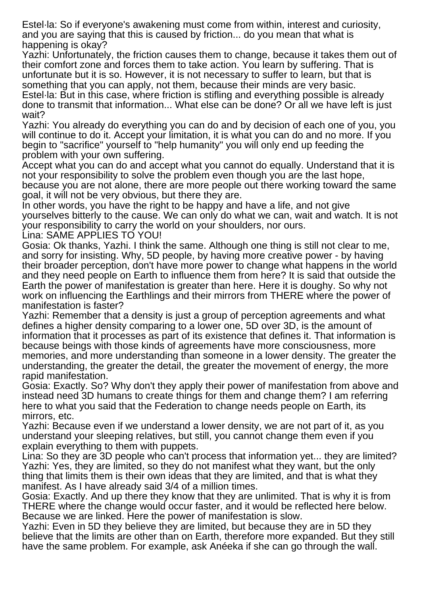Estel·la: So if everyone's awakening must come from within, interest and curiosity, and you are saying that this is caused by friction... do you mean that what is happening is okay?

Yazhi: Unfortunately, the friction causes them to change, because it takes them out of their comfort zone and forces them to take action. You learn by suffering. That is unfortunate but it is so. However, it is not necessary to suffer to learn, but that is something that you can apply, not them, because their minds are very basic. Estel·la: But in this case, where friction is stifling and everything possible is already done to transmit that information... What else can be done? Or all we have left is just wait?

Yazhi: You already do everything you can do and by decision of each one of you, you will continue to do it. Accept your limitation, it is what you can do and no more. If you begin to "sacrifice" yourself to "help humanity" you will only end up feeding the problem with your own suffering.

Accept what you can do and accept what you cannot do equally. Understand that it is not your responsibility to solve the problem even though you are the last hope,

because you are not alone, there are more people out there working toward the same goal, it will not be very obvious, but there they are.

In other words, you have the right to be happy and have a life, and not give yourselves bitterly to the cause. We can only do what we can, wait and watch. It is not your responsibility to carry the world on your shoulders, nor ours. Lina: SAME APPLIES TO YOU!

Gosia: Ok thanks, Yazhi. I think the same. Although one thing is still not clear to me, and sorry for insisting. Why, 5D people, by having more creative power - by having their broader perception, don't have more power to change what happens in the world and they need people on Earth to influence them from here? It is said that outside the Earth the power of manifestation is greater than here. Here it is doughy. So why not work on influencing the Earthlings and their mirrors from THERE where the power of manifestation is faster?

Yazhi: Remember that a density is just a group of perception agreements and what defines a higher density comparing to a lower one, 5D over 3D, is the amount of information that it processes as part of its existence that defines it. That information is because beings with those kinds of agreements have more consciousness, more memories, and more understanding than someone in a lower density. The greater the understanding, the greater the detail, the greater the movement of energy, the more rapid manifestation.

Gosia: Exactly. So? Why don't they apply their power of manifestation from above and instead need 3D humans to create things for them and change them? I am referring here to what you said that the Federation to change needs people on Earth, its mirrors, etc.

Yazhi: Because even if we understand a lower density, we are not part of it, as you understand your sleeping relatives, but still, you cannot change them even if you explain everything to them with puppets.

Lina: So they are 3D people who can't process that information yet... they are limited? Yazhi: Yes, they are limited, so they do not manifest what they want, but the only thing that limits them is their own ideas that they are limited, and that is what they manifest. As I have already said 3/4 of a million times.

Gosia: Exactly. And up there they know that they are unlimited. That is why it is from THERE where the change would occur faster, and it would be reflected here below. Because we are linked. Here the power of manifestation is slow.

Yazhi: Even in 5D they believe they are limited, but because they are in 5D they believe that the limits are other than on Earth, therefore more expanded. But they still have the same problem. For example, ask Anéeka if she can go through the wall.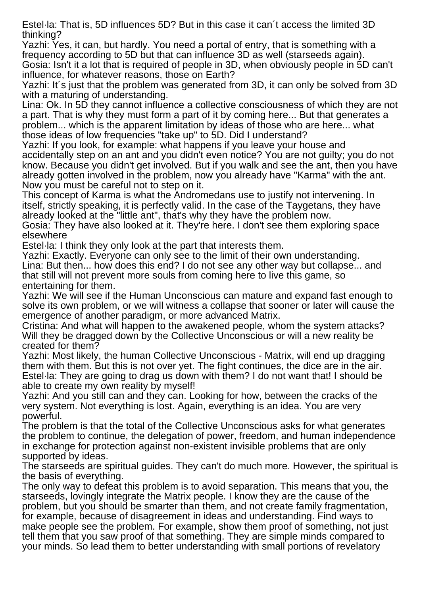Estel·la: That is, 5D influences 5D? But in this case it can´t access the limited 3D thinking?

Yazhi: Yes, it can, but hardly. You need a portal of entry, that is something with a frequency according to 5D but that can influence 3D as well (starseeds again). Gosia: Isn't it a lot that is required of people in 3D, when obviously people in 5D can't influence, for whatever reasons, those on Earth?

Yazhi: It´s just that the problem was generated from 3D, it can only be solved from 3D with a maturing of understanding.

Lina: Ok. In 5D they cannot influence a collective consciousness of which they are not a part. That is why they must form a part of it by coming here... But that generates a problem... which is the apparent limitation by ideas of those who are here... what those ideas of low frequencies "take up" to 5D. Did I understand?

Yazhi: If you look, for example: what happens if you leave your house and accidentally step on an ant and you didn't even notice? You are not guilty; you do not know. Because you didn't get involved. But if you walk and see the ant, then you have already gotten involved in the problem, now you already have "Karma" with the ant. Now you must be careful not to step on it.

This concept of Karma is what the Andromedans use to justify not intervening. In itself, strictly speaking, it is perfectly valid. In the case of the Taygetans, they have already looked at the "little ant", that's why they have the problem now.

Gosia: They have also looked at it. They're here. I don't see them exploring space elsewhere

Estel·la: I think they only look at the part that interests them.

Yazhi: Exactly. Everyone can only see to the limit of their own understanding. Lina: But then... how does this end? I do not see any other way but collapse... and that still will not prevent more souls from coming here to live this game, so entertaining for them.

Yazhi: We will see if the Human Unconscious can mature and expand fast enough to solve its own problem, or we will witness a collapse that sooner or later will cause the emergence of another paradigm, or more advanced Matrix.

Cristina: And what will happen to the awakened people, whom the system attacks? Will they be dragged down by the Collective Unconscious or will a new reality be created for them?

Yazhi: Most likely, the human Collective Unconscious - Matrix, will end up dragging them with them. But this is not over yet. The fight continues, the dice are in the air. Estel·la: They are going to drag us down with them? I do not want that! I should be able to create my own reality by myself!

Yazhi: And you still can and they can. Looking for how, between the cracks of the very system. Not everything is lost. Again, everything is an idea. You are very powerful.

The problem is that the total of the Collective Unconscious asks for what generates the problem to continue, the delegation of power, freedom, and human independence in exchange for protection against non-existent invisible problems that are only supported by ideas.

The starseeds are spiritual guides. They can't do much more. However, the spiritual is the basis of everything.

The only way to defeat this problem is to avoid separation. This means that you, the starseeds, lovingly integrate the Matrix people. I know they are the cause of the problem, but you should be smarter than them, and not create family fragmentation, for example, because of disagreement in ideas and understanding. Find ways to make people see the problem. For example, show them proof of something, not just tell them that you saw proof of that something. They are simple minds compared to your minds. So lead them to better understanding with small portions of revelatory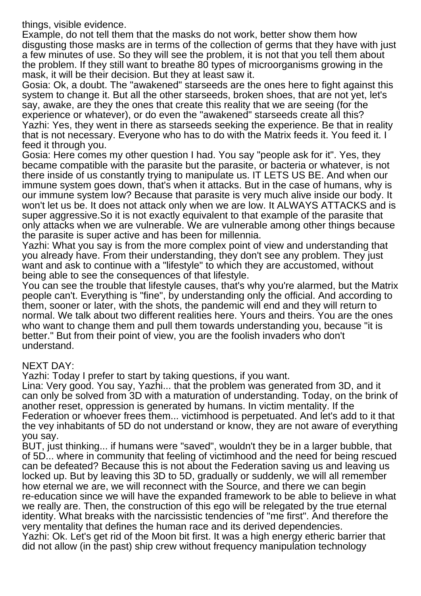things, visible evidence.

Example, do not tell them that the masks do not work, better show them how disgusting those masks are in terms of the collection of germs that they have with just a few minutes of use. So they will see the problem, it is not that you tell them about the problem. If they still want to breathe 80 types of microorganisms growing in the mask, it will be their decision. But they at least saw it.

Gosia: Ok, a doubt. The "awakened" starseeds are the ones here to fight against this system to change it. But all the other starseeds, broken shoes, that are not yet, let's say, awake, are they the ones that create this reality that we are seeing (for the experience or whatever), or do even the "awakened" starseeds create all this? Yazhi: Yes, they went in there as starseeds seeking the experience. Be that in reality that is not necessary. Everyone who has to do with the Matrix feeds it. You feed it. I feed it through you.

Gosia: Here comes my other question I had. You say "people ask for it". Yes, they became compatible with the parasite but the parasite, or bacteria or whatever, is not there inside of us constantly trying to manipulate us. IT LETS US BE. And when our immune system goes down, that's when it attacks. But in the case of humans, why is our immune system low? Because that parasite is very much alive inside our body. It won't let us be. It does not attack only when we are low. It ALWAYS ATTACKS and is super aggressive.So it is not exactly equivalent to that example of the parasite that only attacks when we are vulnerable. We are vulnerable among other things because the parasite is super active and has been for millennia.

Yazhi: What you say is from the more complex point of view and understanding that you already have. From their understanding, they don't see any problem. They just want and ask to continue with a "lifestyle" to which they are accustomed, without being able to see the consequences of that lifestyle.

You can see the trouble that lifestyle causes, that's why you're alarmed, but the Matrix people can't. Everything is "fine", by understanding only the official. And according to them, sooner or later, with the shots, the pandemic will end and they will return to normal. We talk about two different realities here. Yours and theirs. You are the ones who want to change them and pull them towards understanding you, because "it is better." But from their point of view, you are the foolish invaders who don't understand.

## NEXT DAY:

Yazhi: Today I prefer to start by taking questions, if you want.

Lina: Very good. You say, Yazhi... that the problem was generated from 3D, and it can only be solved from 3D with a maturation of understanding. Today, on the brink of another reset, oppression is generated by humans. In victim mentality. If the Federation or whoever frees them... victimhood is perpetuated. And let's add to it that the vey inhabitants of 5D do not understand or know, they are not aware of everything you say.

BUT, just thinking... if humans were "saved", wouldn't they be in a larger bubble, that of 5D... where in community that feeling of victimhood and the need for being rescued can be defeated? Because this is not about the Federation saving us and leaving us locked up. But by leaving this 3D to 5D, gradually or suddenly, we will all remember how eternal we are, we will reconnect with the Source, and there we can begin re-education since we will have the expanded framework to be able to believe in what we really are. Then, the construction of this ego will be relegated by the true eternal identity. What breaks with the narcissistic tendencies of "me first". And therefore the very mentality that defines the human race and its derived dependencies. Yazhi: Ok. Let's get rid of the Moon bit first. It was a high energy etheric barrier that

did not allow (in the past) ship crew without frequency manipulation technology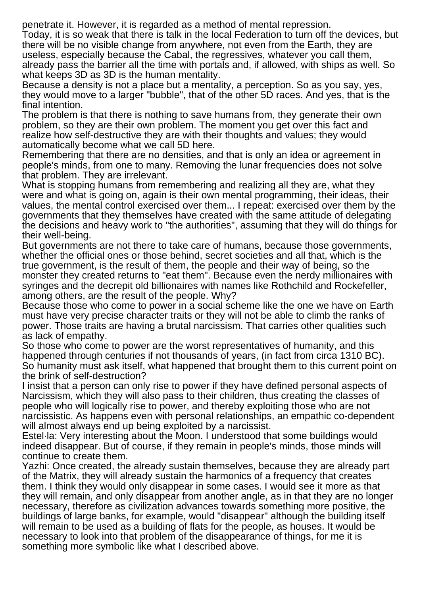penetrate it. However, it is regarded as a method of mental repression.

Today, it is so weak that there is talk in the local Federation to turn off the devices, but there will be no visible change from anywhere, not even from the Earth, they are useless, especially because the Cabal, the regressives, whatever you call them, already pass the barrier all the time with portals and, if allowed, with ships as well. So what keeps 3D as 3D is the human mentality.

Because a density is not a place but a mentality, a perception. So as you say, yes, they would move to a larger "bubble", that of the other 5D races. And yes, that is the final intention.

The problem is that there is nothing to save humans from, they generate their own problem, so they are their own problem. The moment you get over this fact and realize how self-destructive they are with their thoughts and values; they would automatically become what we call 5D here.

Remembering that there are no densities, and that is only an idea or agreement in people's minds, from one to many. Removing the lunar frequencies does not solve that problem. They are irrelevant.

What is stopping humans from remembering and realizing all they are, what they were and what is going on, again is their own mental programming, their ideas, their values, the mental control exercised over them... I repeat: exercised over them by the governments that they themselves have created with the same attitude of delegating the decisions and heavy work to "the authorities", assuming that they will do things for their well-being.

But governments are not there to take care of humans, because those governments, whether the official ones or those behind, secret societies and all that, which is the true government, is the result of them, the people and their way of being, so the monster they created returns to "eat them". Because even the nerdy millionaires with syringes and the decrepit old billionaires with names like Rothchild and Rockefeller, among others, are the result of the people. Why?

Because those who come to power in a social scheme like the one we have on Earth must have very precise character traits or they will not be able to climb the ranks of power. Those traits are having a brutal narcissism. That carries other qualities such as lack of empathy.

So those who come to power are the worst representatives of humanity, and this happened through centuries if not thousands of years, (in fact from circa 1310 BC). So humanity must ask itself, what happened that brought them to this current point on the brink of self-destruction?

I insist that a person can only rise to power if they have defined personal aspects of Narcissism, which they will also pass to their children, thus creating the classes of people who will logically rise to power, and thereby exploiting those who are not narcissistic. As happens even with personal relationships, an empathic co-dependent will almost always end up being exploited by a narcissist.

Estel·la: Very interesting about the Moon. I understood that some buildings would indeed disappear. But of course, if they remain in people's minds, those minds will continue to create them.

Yazhi: Once created, the already sustain themselves, because they are already part of the Matrix, they will already sustain the harmonics of a frequency that creates them. I think they would only disappear in some cases. I would see it more as that they will remain, and only disappear from another angle, as in that they are no longer necessary, therefore as civilization advances towards something more positive, the buildings of large banks, for example, would "disappear" although the building itself will remain to be used as a building of flats for the people, as houses. It would be necessary to look into that problem of the disappearance of things, for me it is something more symbolic like what I described above.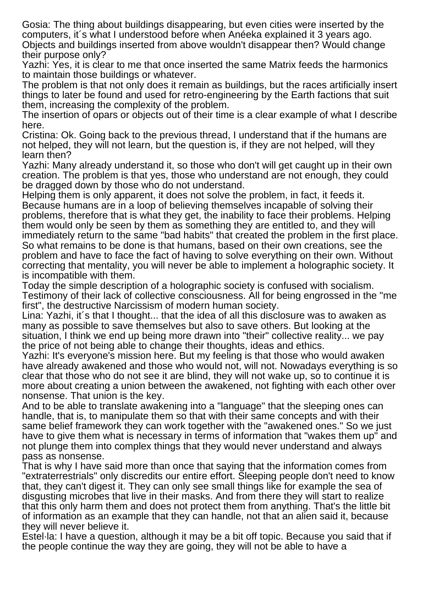Gosia: The thing about buildings disappearing, but even cities were inserted by the computers, it´s what I understood before when Anéeka explained it 3 years ago. Objects and buildings inserted from above wouldn't disappear then? Would change their purpose only?

Yazhi: Yes, it is clear to me that once inserted the same Matrix feeds the harmonics to maintain those buildings or whatever.

The problem is that not only does it remain as buildings, but the races artificially insert things to later be found and used for retro-engineering by the Earth factions that suit them, increasing the complexity of the problem.

The insertion of opars or objects out of their time is a clear example of what I describe here.

Cristina: Ok. Going back to the previous thread, I understand that if the humans are not helped, they will not learn, but the question is, if they are not helped, will they learn then?

Yazhi: Many already understand it, so those who don't will get caught up in their own creation. The problem is that yes, those who understand are not enough, they could be dragged down by those who do not understand.

Helping them is only apparent, it does not solve the problem, in fact, it feeds it. Because humans are in a loop of believing themselves incapable of solving their problems, therefore that is what they get, the inability to face their problems. Helping them would only be seen by them as something they are entitled to, and they will immediately return to the same "bad habits" that created the problem in the first place. So what remains to be done is that humans, based on their own creations, see the problem and have to face the fact of having to solve everything on their own. Without correcting that mentality, you will never be able to implement a holographic society. It is incompatible with them.

Today the simple description of a holographic society is confused with socialism. Testimony of their lack of collective consciousness. All for being engrossed in the "me first", the destructive Narcissism of modern human society.

Lina: Yazhi, it´s that I thought... that the idea of all this disclosure was to awaken as many as possible to save themselves but also to save others. But looking at the situation, I think we end up being more drawn into "their" collective reality... we pay the price of not being able to change their thoughts, ideas and ethics.

Yazhi: It's everyone's mission here. But my feeling is that those who would awaken have already awakened and those who would not, will not. Nowadays everything is so clear that those who do not see it are blind, they will not wake up, so to continue it is more about creating a union between the awakened, not fighting with each other over nonsense. That union is the key.

And to be able to translate awakening into a "language" that the sleeping ones can handle, that is, to manipulate them so that with their same concepts and with their same belief framework they can work together with the "awakened ones." So we just have to give them what is necessary in terms of information that "wakes them up" and not plunge them into complex things that they would never understand and always pass as nonsense.

That is why I have said more than once that saying that the information comes from "extraterrestrials" only discredits our entire effort. Sleeping people don't need to know that, they can't digest it. They can only see small things like for example the sea of disgusting microbes that live in their masks. And from there they will start to realize that this only harm them and does not protect them from anything. That's the little bit of information as an example that they can handle, not that an alien said it, because they will never believe it.

Estel·la: I have a question, although it may be a bit off topic. Because you said that if the people continue the way they are going, they will not be able to have a